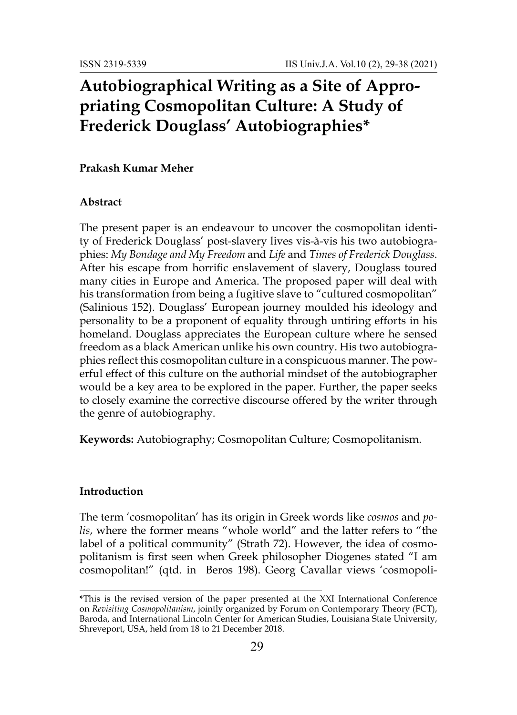# **Autobiographical Writing as a Site of Appropriating Cosmopolitan Culture: A Study of Frederick Douglass' Autobiographies\***

## **Prakash Kumar Meher**

#### **Abstract**

The present paper is an endeavour to uncover the cosmopolitan identity of Frederick Douglass' post-slavery lives vis-à-vis his two autobiographies: *My Bondage and My Freedom* and *Life* and *Times of Frederick Douglass*. After his escape from horrific enslavement of slavery, Douglass toured many cities in Europe and America. The proposed paper will deal with his transformation from being a fugitive slave to "cultured cosmopolitan" (Salinious 152). Douglass' European journey moulded his ideology and personality to be a proponent of equality through untiring efforts in his homeland. Douglass appreciates the European culture where he sensed freedom as a black American unlike his own country. His two autobiographies reflect this cosmopolitan culture in a conspicuous manner. The powerful effect of this culture on the authorial mindset of the autobiographer would be a key area to be explored in the paper. Further, the paper seeks to closely examine the corrective discourse offered by the writer through the genre of autobiography.

**Keywords:** Autobiography; Cosmopolitan Culture; Cosmopolitanism.

## **Introduction**

The term 'cosmopolitan' has its origin in Greek words like *cosmos* and *polis*, where the former means "whole world" and the latter refers to "the label of a political community" (Strath 72). However, the idea of cosmopolitanism is first seen when Greek philosopher Diogenes stated "I am cosmopolitan!" (qtd. in Beros 198). Georg Cavallar views 'cosmopoli-

**<sup>\*</sup>**This is the revised version of the paper presented at the XXI International Conference on *Revisiting Cosmopolitanism*, jointly organized by Forum on Contemporary Theory (FCT), Baroda, and International Lincoln Center for American Studies, Louisiana State University, Shreveport, USA, held from 18 to 21 December 2018.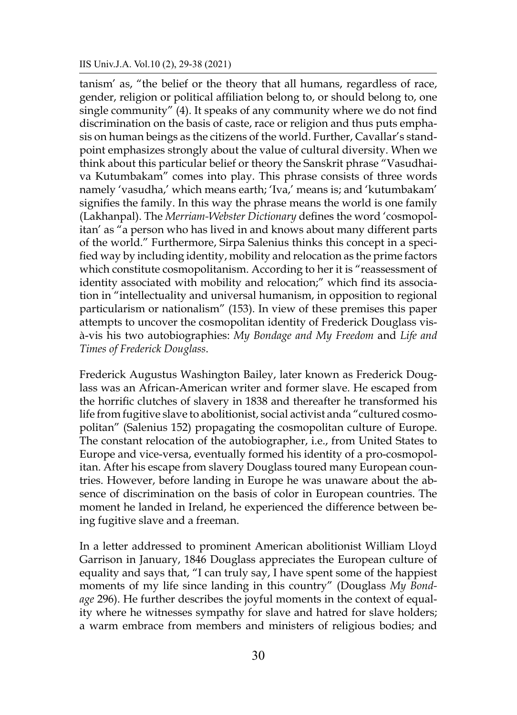tanism' as, "the belief or the theory that all humans, regardless of race, gender, religion or political affiliation belong to, or should belong to, one single community" (4). It speaks of any community where we do not find discrimination on the basis of caste, race or religion and thus puts emphasis on human beings as the citizens of the world. Further, Cavallar's standpoint emphasizes strongly about the value of cultural diversity. When we think about this particular belief or theory the Sanskrit phrase "Vasudhaiva Kutumbakam" comes into play. This phrase consists of three words namely 'vasudha,' which means earth; 'Iva,' means is; and 'kutumbakam' signifies the family. In this way the phrase means the world is one family (Lakhanpal). The *Merriam-Webster Dictionary* defines the word 'cosmopolitan' as "a person who has lived in and knows about many different parts of the world." Furthermore, Sirpa Salenius thinks this concept in a specified way by including identity, mobility and relocation as the prime factors which constitute cosmopolitanism. According to her it is "reassessment of identity associated with mobility and relocation;" which find its association in "intellectuality and universal humanism, in opposition to regional particularism or nationalism" (153). In view of these premises this paper attempts to uncover the cosmopolitan identity of Frederick Douglass visà-vis his two autobiographies: *My Bondage and My Freedom* and *Life and Times of Frederick Douglass*.

Frederick Augustus Washington Bailey, later known as Frederick Douglass was an African-American writer and former slave. He escaped from the horrific clutches of slavery in 1838 and thereafter he transformed his life from fugitive slave to abolitionist, social activist anda "cultured cosmopolitan" (Salenius 152) propagating the cosmopolitan culture of Europe. The constant relocation of the autobiographer, i.e., from United States to Europe and vice-versa, eventually formed his identity of a pro-cosmopolitan. After his escape from slavery Douglass toured many European countries. However, before landing in Europe he was unaware about the absence of discrimination on the basis of color in European countries. The moment he landed in Ireland, he experienced the difference between being fugitive slave and a freeman.

In a letter addressed to prominent American abolitionist William Lloyd Garrison in January, 1846 Douglass appreciates the European culture of equality and says that, "I can truly say, I have spent some of the happiest moments of my life since landing in this country" (Douglass *My Bondage* 296). He further describes the joyful moments in the context of equality where he witnesses sympathy for slave and hatred for slave holders; a warm embrace from members and ministers of religious bodies; and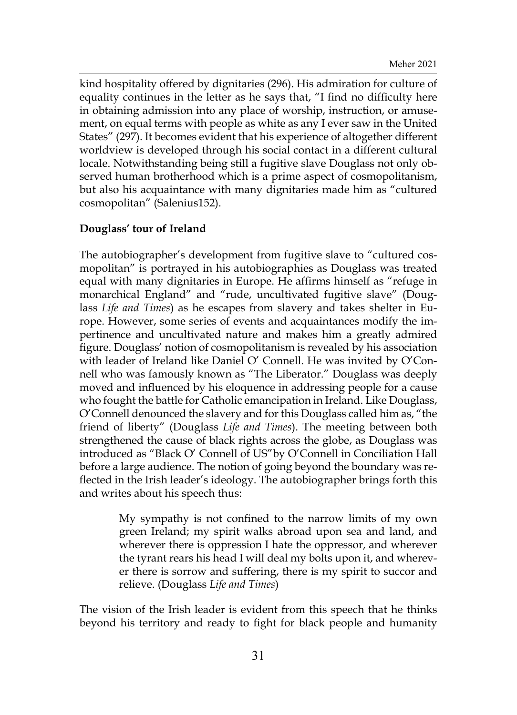kind hospitality offered by dignitaries (296). His admiration for culture of equality continues in the letter as he says that, "I find no difficulty here in obtaining admission into any place of worship, instruction, or amusement, on equal terms with people as white as any I ever saw in the United States" (297). It becomes evident that his experience of altogether different worldview is developed through his social contact in a different cultural locale. Notwithstanding being still a fugitive slave Douglass not only observed human brotherhood which is a prime aspect of cosmopolitanism, but also his acquaintance with many dignitaries made him as "cultured cosmopolitan" (Salenius152).

## **Douglass' tour of Ireland**

The autobiographer's development from fugitive slave to "cultured cosmopolitan" is portrayed in his autobiographies as Douglass was treated equal with many dignitaries in Europe. He affirms himself as "refuge in monarchical England" and "rude, uncultivated fugitive slave" (Douglass *Life and Times*) as he escapes from slavery and takes shelter in Europe. However, some series of events and acquaintances modify the impertinence and uncultivated nature and makes him a greatly admired figure. Douglass' notion of cosmopolitanism is revealed by his association with leader of Ireland like Daniel O' Connell. He was invited by O'Connell who was famously known as "The Liberator." Douglass was deeply moved and influenced by his eloquence in addressing people for a cause who fought the battle for Catholic emancipation in Ireland. Like Douglass, O'Connell denounced the slavery and for this Douglass called him as, "the friend of liberty" (Douglass *Life and Times*). The meeting between both strengthened the cause of black rights across the globe, as Douglass was introduced as "Black O' Connell of US"by O'Connell in Conciliation Hall before a large audience. The notion of going beyond the boundary was reflected in the Irish leader's ideology. The autobiographer brings forth this and writes about his speech thus:

> My sympathy is not confined to the narrow limits of my own green Ireland; my spirit walks abroad upon sea and land, and wherever there is oppression I hate the oppressor, and wherever the tyrant rears his head I will deal my bolts upon it, and wherever there is sorrow and suffering, there is my spirit to succor and relieve. (Douglass *Life and Times*)

The vision of the Irish leader is evident from this speech that he thinks beyond his territory and ready to fight for black people and humanity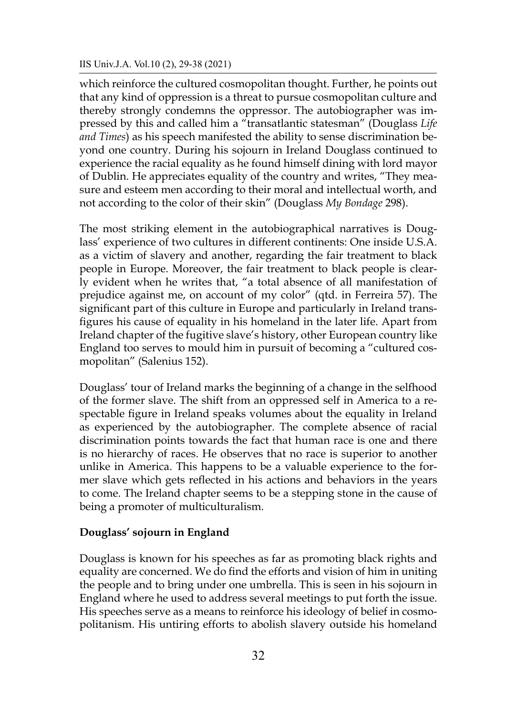#### IIS Univ.J.A. Vol.10 (2), 29-38 (2021)

which reinforce the cultured cosmopolitan thought. Further, he points out that any kind of oppression is a threat to pursue cosmopolitan culture and thereby strongly condemns the oppressor. The autobiographer was impressed by this and called him a "transatlantic statesman" (Douglass *Life and Times*) as his speech manifested the ability to sense discrimination beyond one country. During his sojourn in Ireland Douglass continued to experience the racial equality as he found himself dining with lord mayor of Dublin. He appreciates equality of the country and writes, "They measure and esteem men according to their moral and intellectual worth, and not according to the color of their skin" (Douglass *My Bondage* 298).

The most striking element in the autobiographical narratives is Douglass' experience of two cultures in different continents: One inside U.S.A. as a victim of slavery and another, regarding the fair treatment to black people in Europe. Moreover, the fair treatment to black people is clearly evident when he writes that, "a total absence of all manifestation of prejudice against me, on account of my color" (qtd. in Ferreira 57). The significant part of this culture in Europe and particularly in Ireland transfigures his cause of equality in his homeland in the later life. Apart from Ireland chapter of the fugitive slave's history, other European country like England too serves to mould him in pursuit of becoming a "cultured cosmopolitan" (Salenius 152).

Douglass' tour of Ireland marks the beginning of a change in the selfhood of the former slave. The shift from an oppressed self in America to a respectable figure in Ireland speaks volumes about the equality in Ireland as experienced by the autobiographer. The complete absence of racial discrimination points towards the fact that human race is one and there is no hierarchy of races. He observes that no race is superior to another unlike in America. This happens to be a valuable experience to the former slave which gets reflected in his actions and behaviors in the years to come. The Ireland chapter seems to be a stepping stone in the cause of being a promoter of multiculturalism.

### **Douglass' sojourn in England**

Douglass is known for his speeches as far as promoting black rights and equality are concerned. We do find the efforts and vision of him in uniting the people and to bring under one umbrella. This is seen in his sojourn in England where he used to address several meetings to put forth the issue. His speeches serve as a means to reinforce his ideology of belief in cosmopolitanism. His untiring efforts to abolish slavery outside his homeland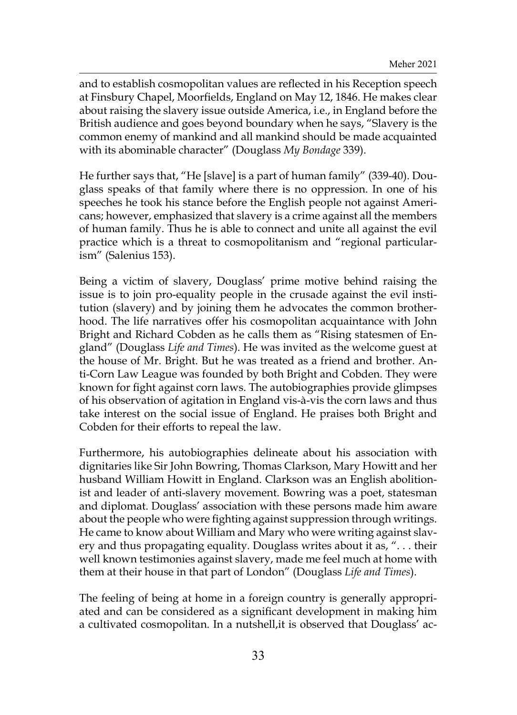and to establish cosmopolitan values are reflected in his Reception speech at Finsbury Chapel, Moorfields, England on May 12, 1846. He makes clear about raising the slavery issue outside America, i.e., in England before the British audience and goes beyond boundary when he says, "Slavery is the common enemy of mankind and all mankind should be made acquainted with its abominable character" (Douglass *My Bondage* 339).

He further says that, "He [slave] is a part of human family" (339-40). Douglass speaks of that family where there is no oppression. In one of his speeches he took his stance before the English people not against Americans; however, emphasized that slavery is a crime against all the members of human family. Thus he is able to connect and unite all against the evil practice which is a threat to cosmopolitanism and "regional particularism" (Salenius 153).

Being a victim of slavery, Douglass' prime motive behind raising the issue is to join pro-equality people in the crusade against the evil institution (slavery) and by joining them he advocates the common brotherhood. The life narratives offer his cosmopolitan acquaintance with John Bright and Richard Cobden as he calls them as "Rising statesmen of England" (Douglass *Life and Times*). He was invited as the welcome guest at the house of Mr. Bright. But he was treated as a friend and brother. Anti-Corn Law League was founded by both Bright and Cobden. They were known for fight against corn laws. The autobiographies provide glimpses of his observation of agitation in England vis-à-vis the corn laws and thus take interest on the social issue of England. He praises both Bright and Cobden for their efforts to repeal the law.

Furthermore, his autobiographies delineate about his association with dignitaries like Sir John Bowring, Thomas Clarkson, Mary Howitt and her husband William Howitt in England. Clarkson was an English abolitionist and leader of anti-slavery movement. Bowring was a poet, statesman and diplomat. Douglass' association with these persons made him aware about the people who were fighting against suppression through writings. He came to know about William and Mary who were writing against slavery and thus propagating equality. Douglass writes about it as, ". . . their well known testimonies against slavery, made me feel much at home with them at their house in that part of London" (Douglass *Life and Times*).

The feeling of being at home in a foreign country is generally appropriated and can be considered as a significant development in making him a cultivated cosmopolitan. In a nutshell,it is observed that Douglass' ac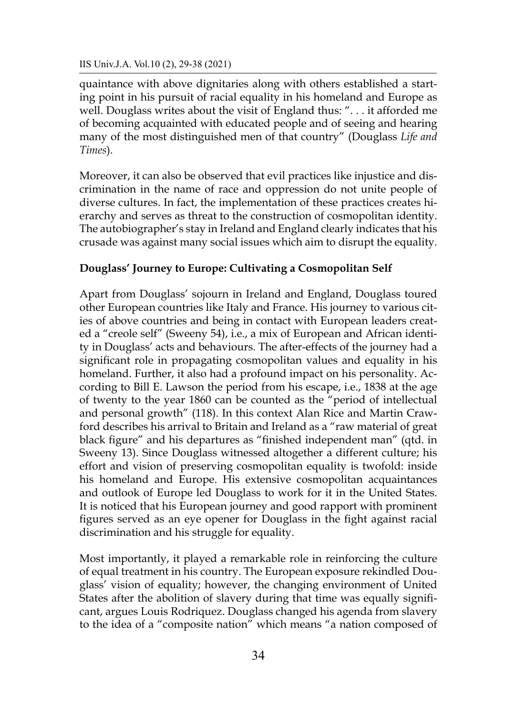IIS Univ.J.A. Vol.10 (2), 29-38 (2021)

quaintance with above dignitaries along with others established a starting point in his pursuit of racial equality in his homeland and Europe as well. Douglass writes about the visit of England thus: ". . . it afforded me of becoming acquainted with educated people and of seeing and hearing many of the most distinguished men of that country" (Douglass *Life and Times*).

Moreover, it can also be observed that evil practices like injustice and discrimination in the name of race and oppression do not unite people of diverse cultures. In fact, the implementation of these practices creates hierarchy and serves as threat to the construction of cosmopolitan identity. The autobiographer's stay in Ireland and England clearly indicates that his crusade was against many social issues which aim to disrupt the equality.

## **Douglass' Journey to Europe: Cultivating a Cosmopolitan Self**

Apart from Douglass' sojourn in Ireland and England, Douglass toured other European countries like Italy and France. His journey to various cities of above countries and being in contact with European leaders created a "creole self" (Sweeny 54), i.e., a mix of European and African identity in Douglass' acts and behaviours. The after-effects of the journey had a significant role in propagating cosmopolitan values and equality in his homeland. Further, it also had a profound impact on his personality. According to Bill E. Lawson the period from his escape, i.e., 1838 at the age of twenty to the year 1860 can be counted as the "period of intellectual and personal growth" (118). In this context Alan Rice and Martin Crawford describes his arrival to Britain and Ireland as a "raw material of great black figure" and his departures as "finished independent man" (qtd. in Sweeny 13). Since Douglass witnessed altogether a different culture; his effort and vision of preserving cosmopolitan equality is twofold: inside his homeland and Europe. His extensive cosmopolitan acquaintances and outlook of Europe led Douglass to work for it in the United States. It is noticed that his European journey and good rapport with prominent figures served as an eye opener for Douglass in the fight against racial discrimination and his struggle for equality.

Most importantly, it played a remarkable role in reinforcing the culture of equal treatment in his country. The European exposure rekindled Douglass' vision of equality; however, the changing environment of United States after the abolition of slavery during that time was equally significant, argues Louis Rodriquez. Douglass changed his agenda from slavery to the idea of a "composite nation" which means "a nation composed of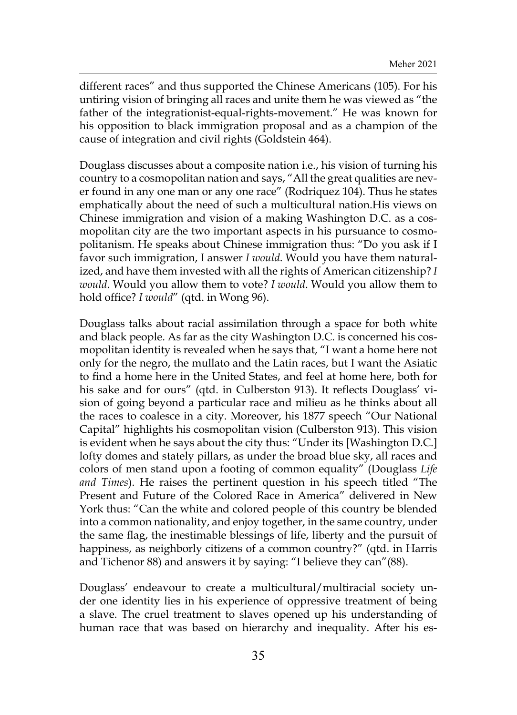different races" and thus supported the Chinese Americans (105). For his untiring vision of bringing all races and unite them he was viewed as "the father of the integrationist-equal-rights-movement." He was known for his opposition to black immigration proposal and as a champion of the cause of integration and civil rights (Goldstein 464).

Douglass discusses about a composite nation i.e., his vision of turning his country to a cosmopolitan nation and says, "All the great qualities are never found in any one man or any one race" (Rodriquez 104). Thus he states emphatically about the need of such a multicultural nation.His views on Chinese immigration and vision of a making Washington D.C. as a cosmopolitan city are the two important aspects in his pursuance to cosmopolitanism. He speaks about Chinese immigration thus: "Do you ask if I favor such immigration, I answer *I would*. Would you have them naturalized, and have them invested with all the rights of American citizenship? *I would*. Would you allow them to vote? *I would*. Would you allow them to hold office? *I would*" (qtd. in Wong 96).

Douglass talks about racial assimilation through a space for both white and black people. As far as the city Washington D.C. is concerned his cosmopolitan identity is revealed when he says that, "I want a home here not only for the negro, the mullato and the Latin races, but I want the Asiatic to find a home here in the United States, and feel at home here, both for his sake and for ours" (qtd. in Culberston 913). It reflects Douglass' vision of going beyond a particular race and milieu as he thinks about all the races to coalesce in a city. Moreover, his 1877 speech "Our National Capital" highlights his cosmopolitan vision (Culberston 913). This vision is evident when he says about the city thus: "Under its [Washington D.C.] lofty domes and stately pillars, as under the broad blue sky, all races and colors of men stand upon a footing of common equality" (Douglass *Life and Times*). He raises the pertinent question in his speech titled "The Present and Future of the Colored Race in America" delivered in New York thus: "Can the white and colored people of this country be blended into a common nationality, and enjoy together, in the same country, under the same flag, the inestimable blessings of life, liberty and the pursuit of happiness, as neighborly citizens of a common country?" (qtd. in Harris and Tichenor 88) and answers it by saying: "I believe they can"(88).

Douglass' endeavour to create a multicultural/multiracial society under one identity lies in his experience of oppressive treatment of being a slave. The cruel treatment to slaves opened up his understanding of human race that was based on hierarchy and inequality. After his es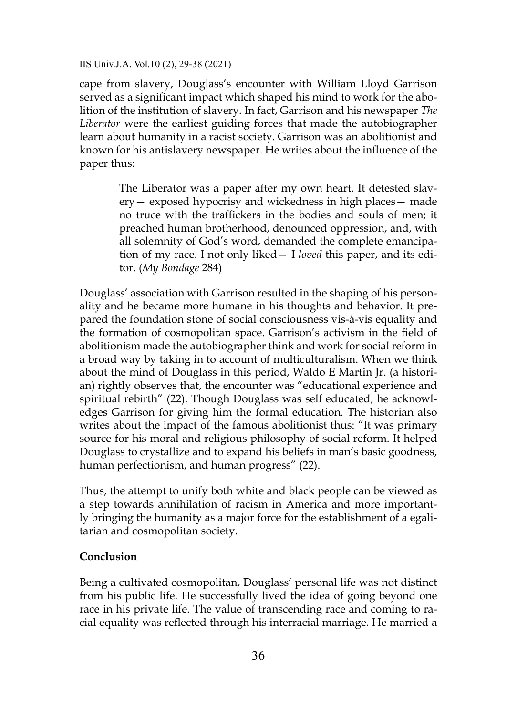cape from slavery, Douglass's encounter with William Lloyd Garrison served as a significant impact which shaped his mind to work for the abolition of the institution of slavery. In fact, Garrison and his newspaper *The Liberator* were the earliest guiding forces that made the autobiographer learn about humanity in a racist society. Garrison was an abolitionist and known for his antislavery newspaper. He writes about the influence of the paper thus:

> The Liberator was a paper after my own heart. It detested slavery— exposed hypocrisy and wickedness in high places— made no truce with the traffickers in the bodies and souls of men; it preached human brotherhood, denounced oppression, and, with all solemnity of God's word, demanded the complete emancipation of my race. I not only liked— I *loved* this paper, and its editor. (*My Bondage* 284)

Douglass' association with Garrison resulted in the shaping of his personality and he became more humane in his thoughts and behavior. It prepared the foundation stone of social consciousness vis-à-vis equality and the formation of cosmopolitan space. Garrison's activism in the field of abolitionism made the autobiographer think and work for social reform in a broad way by taking in to account of multiculturalism. When we think about the mind of Douglass in this period, Waldo E Martin Jr. (a historian) rightly observes that, the encounter was "educational experience and spiritual rebirth" (22). Though Douglass was self educated, he acknowledges Garrison for giving him the formal education. The historian also writes about the impact of the famous abolitionist thus: "It was primary source for his moral and religious philosophy of social reform. It helped Douglass to crystallize and to expand his beliefs in man's basic goodness, human perfectionism, and human progress" (22).

Thus, the attempt to unify both white and black people can be viewed as a step towards annihilation of racism in America and more importantly bringing the humanity as a major force for the establishment of a egalitarian and cosmopolitan society.

## **Conclusion**

Being a cultivated cosmopolitan, Douglass' personal life was not distinct from his public life. He successfully lived the idea of going beyond one race in his private life. The value of transcending race and coming to racial equality was reflected through his interracial marriage. He married a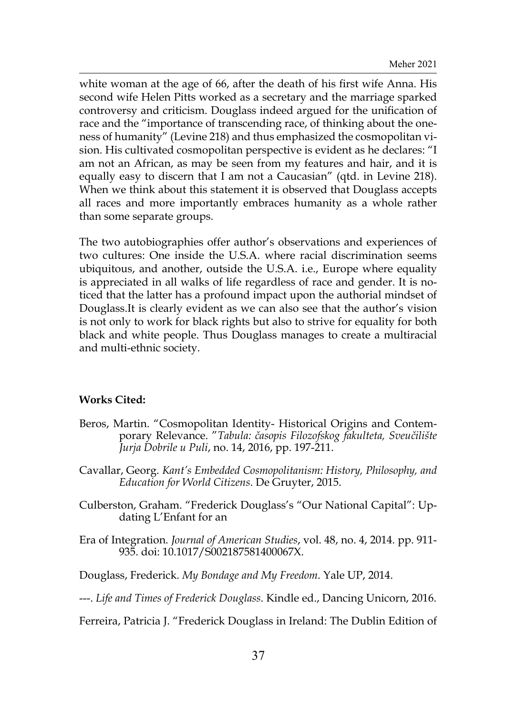white woman at the age of 66, after the death of his first wife Anna. His second wife Helen Pitts worked as a secretary and the marriage sparked controversy and criticism. Douglass indeed argued for the unification of race and the "importance of transcending race, of thinking about the oneness of humanity" (Levine 218) and thus emphasized the cosmopolitan vision. His cultivated cosmopolitan perspective is evident as he declares: "I am not an African, as may be seen from my features and hair, and it is equally easy to discern that I am not a Caucasian" (qtd. in Levine 218). When we think about this statement it is observed that Douglass accepts all races and more importantly embraces humanity as a whole rather than some separate groups.

The two autobiographies offer author's observations and experiences of two cultures: One inside the U.S.A. where racial discrimination seems ubiquitous, and another, outside the U.S.A. i.e., Europe where equality is appreciated in all walks of life regardless of race and gender. It is noticed that the latter has a profound impact upon the authorial mindset of Douglass.It is clearly evident as we can also see that the author's vision is not only to work for black rights but also to strive for equality for both black and white people. Thus Douglass manages to create a multiracial and multi-ethnic society.

## **Works Cited:**

- Beros, Martin. "Cosmopolitan Identity- Historical Origins and Contemporary Relevance. "*Tabula: časopis Filozofskog fakulteta, Sveučilište Jurja Dobrile u Puli*, no. 14, 2016, pp. 197-211.
- Cavallar, Georg. *Kant's Embedded Cosmopolitanism: History, Philosophy, and Education for World Citizens*. De Gruyter, 2015.
- Culberston, Graham. "Frederick Douglass's "Our National Capital": Updating L'Enfant for an
- Era of Integration. *Journal of American Studies*, vol. 48, no. 4, 2014. pp. 911- 935. doi: 10.1017/S002187581400067X.
- Douglass, Frederick. *My Bondage and My Freedom*. Yale UP, 2014.
- ---. *Life and Times of Frederick Douglass*. Kindle ed., Dancing Unicorn, 2016.

Ferreira, Patricia J. "Frederick Douglass in Ireland: The Dublin Edition of